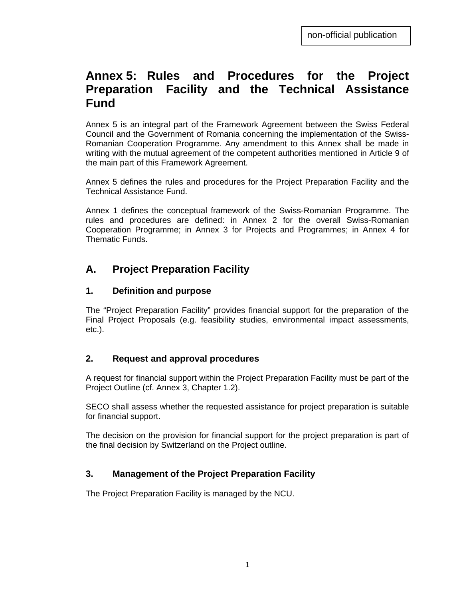# **Annex 5: Rules and Procedures for the Project Preparation Facility and the Technical Assistance Fund**

Annex 5 is an integral part of the Framework Agreement between the Swiss Federal Council and the Government of Romania concerning the implementation of the Swiss-Romanian Cooperation Programme. Any amendment to this Annex shall be made in writing with the mutual agreement of the competent authorities mentioned in Article 9 of the main part of this Framework Agreement.

Annex 5 defines the rules and procedures for the Project Preparation Facility and the Technical Assistance Fund.

Annex 1 defines the conceptual framework of the Swiss-Romanian Programme. The rules and procedures are defined: in Annex 2 for the overall Swiss-Romanian Cooperation Programme; in Annex 3 for Projects and Programmes; in Annex 4 for Thematic Funds.

## **A. Project Preparation Facility**

#### **1. Definition and purpose**

The "Project Preparation Facility" provides financial support for the preparation of the Final Project Proposals (e.g. feasibility studies, environmental impact assessments, etc.).

#### **2. Request and approval procedures**

A request for financial support within the Project Preparation Facility must be part of the Project Outline (cf. Annex 3, Chapter 1.2).

SECO shall assess whether the requested assistance for project preparation is suitable for financial support.

The decision on the provision for financial support for the project preparation is part of the final decision by Switzerland on the Project outline.

#### **3. Management of the Project Preparation Facility**

The Project Preparation Facility is managed by the NCU.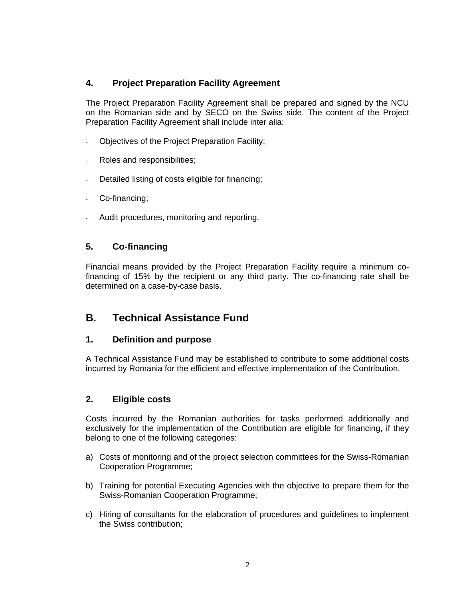### **4. Project Preparation Facility Agreement**

The Project Preparation Facility Agreement shall be prepared and signed by the NCU on the Romanian side and by SECO on the Swiss side. The content of the Project Preparation Facility Agreement shall include inter alia:

- Objectives of the Project Preparation Facility;
- Roles and responsibilities;
- Detailed listing of costs eligible for financing;
- Co-financing;
- Audit procedures, monitoring and reporting.

#### **5. Co-financing**

Financial means provided by the Project Preparation Facility require a minimum cofinancing of 15% by the recipient or any third party. The co-financing rate shall be determined on a case-by-case basis.

## **B. Technical Assistance Fund**

#### **1. Definition and purpose**

A Technical Assistance Fund may be established to contribute to some additional costs incurred by Romania for the efficient and effective implementation of the Contribution.

#### **2. Eligible costs**

Costs incurred by the Romanian authorities for tasks performed additionally and exclusively for the implementation of the Contribution are eligible for financing, if they belong to one of the following categories:

- a) Costs of monitoring and of the project selection committees for the Swiss-Romanian Cooperation Programme;
- b) Training for potential Executing Agencies with the objective to prepare them for the Swiss-Romanian Cooperation Programme;
- c) Hiring of consultants for the elaboration of procedures and guidelines to implement the Swiss contribution;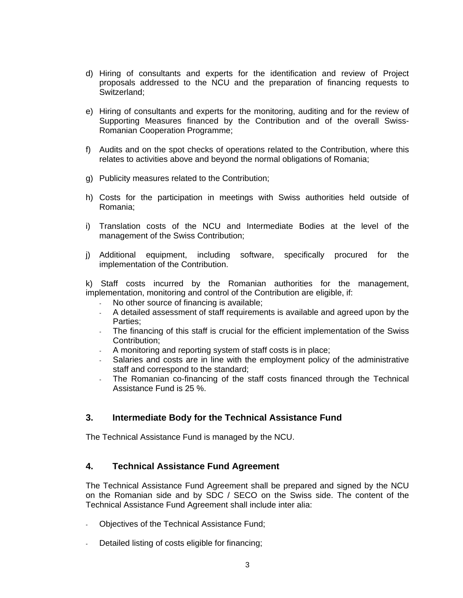- d) Hiring of consultants and experts for the identification and review of Project proposals addressed to the NCU and the preparation of financing requests to Switzerland;
- e) Hiring of consultants and experts for the monitoring, auditing and for the review of Supporting Measures financed by the Contribution and of the overall Swiss-Romanian Cooperation Programme;
- f) Audits and on the spot checks of operations related to the Contribution, where this relates to activities above and beyond the normal obligations of Romania;
- g) Publicity measures related to the Contribution;
- h) Costs for the participation in meetings with Swiss authorities held outside of Romania;
- i) Translation costs of the NCU and Intermediate Bodies at the level of the management of the Swiss Contribution;
- j) Additional equipment, including software, specifically procured for the implementation of the Contribution.

k) Staff costs incurred by the Romanian authorities for the management, implementation, monitoring and control of the Contribution are eligible, if:

- No other source of financing is available;
- A detailed assessment of staff requirements is available and agreed upon by the Parties;
- The financing of this staff is crucial for the efficient implementation of the Swiss Contribution;
- A monitoring and reporting system of staff costs is in place;
- Salaries and costs are in line with the employment policy of the administrative staff and correspond to the standard;
- The Romanian co-financing of the staff costs financed through the Technical Assistance Fund is 25 %.

#### **3. Intermediate Body for the Technical Assistance Fund**

The Technical Assistance Fund is managed by the NCU.

#### **4. Technical Assistance Fund Agreement**

The Technical Assistance Fund Agreement shall be prepared and signed by the NCU on the Romanian side and by SDC / SECO on the Swiss side. The content of the Technical Assistance Fund Agreement shall include inter alia:

- Objectives of the Technical Assistance Fund;
- Detailed listing of costs eligible for financing;